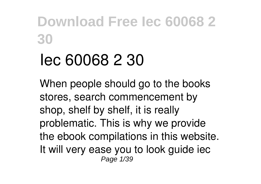# **Iec 60068 2 30**

When people should go to the books stores, search commencement by shop, shelf by shelf, it is really problematic. This is why we provide the ebook compilations in this website. It will very ease you to look guide **iec** Page 1/39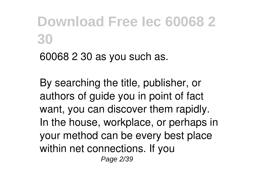**60068 2 30** as you such as.

By searching the title, publisher, or authors of guide you in point of fact want, you can discover them rapidly. In the house, workplace, or perhaps in your method can be every best place within net connections. If you Page 2/39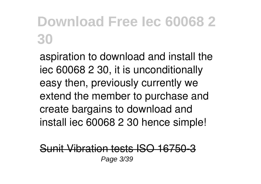aspiration to download and install the iec 60068 2 30, it is unconditionally easy then, previously currently we extend the member to purchase and create bargains to download and install iec 60068 2 30 hence simple!

nit Vibration tests ISO 167 $\,$ Page 3/39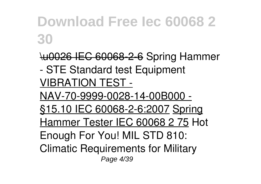\u0026 IEC 60068-2-6 *Spring Hammer - STE Standard test Equipment* VIBRATION TEST - NAV-70-9999-0028-14-00B000 - §15.10 IEC 60068-2-6:2007 Spring Hammer Tester IEC 60068 2 75 **Hot Enough For You! MIL STD 810: Climatic Requirements for Military** Page 4/39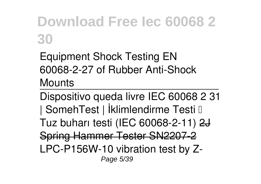**Equipment Shock Testing EN 60068-2-27 of Rubber Anti-Shock Mounts**

Dispositivo queda livre IEC 60068 2 31 | Someh*Test | İklimlendirme Testi – Tuz buharı testi (IEC 60068-2-11)* 2J Spring Hammer Tester SN2207-2 *LPC-P156W-10 vibration test by Z-*Page 5/39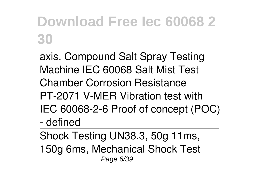*axis. Compound Salt Spray Testing Machine IEC 60068 Salt Mist Test Chamber Corrosion Resistance PT-2071 V-MER Vibration test with IEC 60068-2-6 Proof of concept (POC) - defined*

Shock Testing UN38.3, 50g 11ms, 150g 6ms, Mechanical Shock Test Page 6/39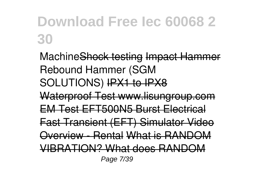MachineShock testing Impact Hammer *Rebound Hammer (SGM* SOLUTIONS) **IPX1 to IPX8** Waterproof Test www.lisungroup.com **EM Test EFT500N5 Burst Electric** Fast Transient (EFT) Simulator Video Overview - Rental What is RANDOM BRATION? What does RANI Page 7/39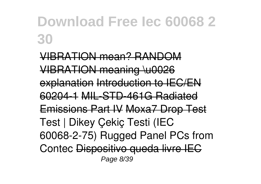VIBRATION mean? RANDO VIBRATION meaning \u0026 explanation Introduction to IEC/EN 60204-1 MIL-STD-461G Radiated Emissions Part IV Moxa7 Drop Test *Test | Dikey Çekiç Testi (IEC 60068-2-75) Rugged Panel PCs from Contec* Dispositivo queda livre IEC Page 8/39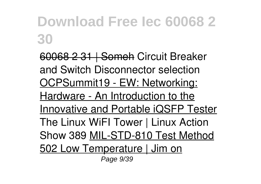60068 2 31 | Someh Circuit Breaker and Switch Disconnector selection OCPSummit19 - EW: Networking: Hardware - An Introduction to the Innovative and Portable iQSFP Tester The Linux WiFI Tower | Linux Action Show 389 MIL-STD-810 Test Method 502 Low Temperature | Jim on Page 9/39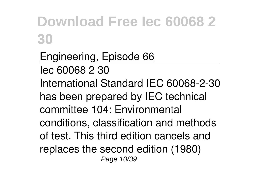#### Engineering, Episode 66

Iec 60068 2 30 International Standard IEC 60068-2-30 has been prepared by IEC technical committee 104: Environmental conditions, classification and methods of test. This third edition cancels and replaces the second edition (1980) Page 10/39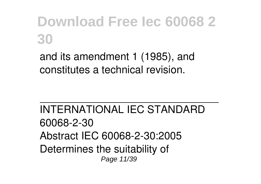and its amendment 1 (1985), and constitutes a technical revision.

INTERNATIONAL IEC STANDARD 60068-2-30 Abstract IEC 60068-2-30:2005 Determines the suitability of Page 11/39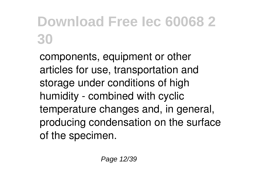components, equipment or other articles for use, transportation and storage under conditions of high humidity - combined with cyclic temperature changes and, in general, producing condensation on the surface of the specimen.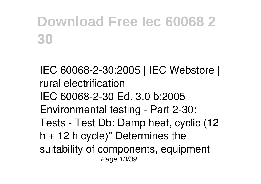IEC 60068-2-30:2005 | IEC Webstore | rural electrification IEC 60068-2-30 Ed. 3.0 b:2005 Environmental testing - Part 2-30: Tests - Test Db: Damp heat, cyclic (12  $h + 12 h$  cycle)" Determines the suitability of components, equipment Page 13/39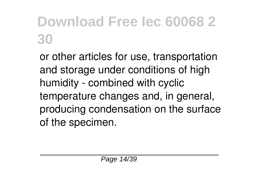or other articles for use, transportation and storage under conditions of high humidity - combined with cyclic temperature changes and, in general, producing condensation on the surface of the specimen.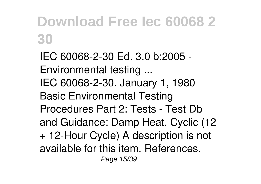IEC 60068-2-30 Ed. 3.0 b:2005 - Environmental testing ... IEC 60068-2-30. January 1, 1980 Basic Environmental Testing Procedures Part 2: Tests - Test Db and Guidance: Damp Heat, Cyclic (12 + 12-Hour Cycle) A description is not available for this item. References. Page 15/39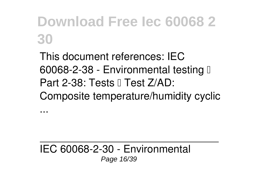This document references: IEC 60068-2-38 - Environmental testing  $\mathbb D$ Part 2-38: Tests  $\Box$  Test  $Z$ /AD: Composite temperature/humidity cyclic

#### IEC 60068-2-30 - Environmental Page 16/39

...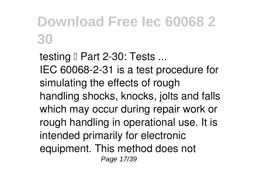testing  $\mathbb D$  Part 2-30: Tests ... IEC 60068-2-31 is a test procedure for simulating the effects of rough handling shocks, knocks, jolts and falls which may occur during repair work or rough handling in operational use. It is intended primarily for electronic equipment. This method does not Page 17/39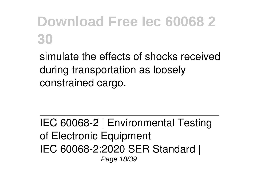simulate the effects of shocks received during transportation as loosely constrained cargo.

IEC 60068-2 | Environmental Testing of Electronic Equipment IEC 60068-2:2020 SER Standard | Page 18/39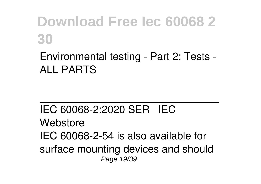#### Environmental testing - Part 2: Tests - ALL PARTS

IEC 60068-2:2020 SER | IEC **Webstore** IEC 60068-2-54 is also available for surface mounting devices and should Page 19/39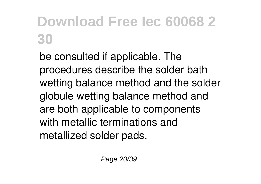be consulted if applicable. The procedures describe the solder bath wetting balance method and the solder globule wetting balance method and are both applicable to components with metallic terminations and metallized solder pads.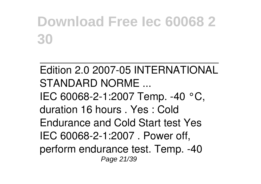Edition 2.0 2007-05 INTERNATIONAL STANDARD NORME ... IEC 60068-2-1:2007 Temp. -40 °C, duration 16 hours . Yes : Cold Endurance and Cold Start test Yes IEC 60068-2-1:2007 . Power off, perform endurance test. Temp. -40 Page 21/39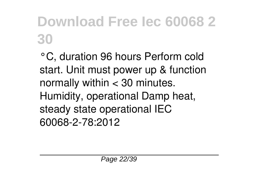°C, duration 96 hours Perform cold start. Unit must power up & function normally within < 30 minutes. Humidity, operational Damp heat, steady state operational IEC 60068-2-78:2012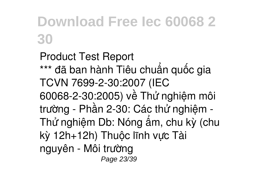Product Test Report \*\*\* đã ban hành Tiêu chuẩn quốc gia TCVN 7699-2-30:2007 (IEC 60068-2-30:2005) về Thử nghiệm môi trường - Phần 2-30: Các thử nghiệm - Thử nghiệm Db: Nóng ẩm, chu kỳ (chu kỳ 12h+12h) Thuộc lĩnh vực Tài nguyên - Môi trường Page 23/39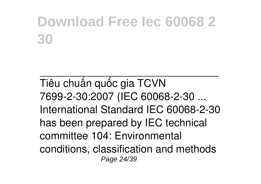Tiêu chuẩn quốc gia TCVN 7699-2-30:2007 (IEC 60068-2-30 ... International Standard IEC 60068-2-30 has been prepared by IEC technical committee 104: Environmental conditions, classification and methods Page 24/39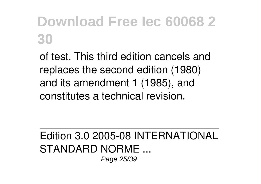of test. This third edition cancels and replaces the second edition (1980) and its amendment 1 (1985), and constitutes a technical revision.

Edition 3.0 2005-08 INTERNATIONAL STANDARD NORME ... Page 25/39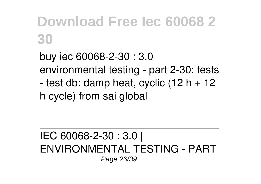buy iec 60068-2-30 : 3.0 environmental testing - part 2-30: tests - test db: damp heat, cyclic  $(12 h + 12)$ h cycle) from sai global

#### IEC 60068-2-30 : 3.0 | ENVIRONMENTAL TESTING - PART Page 26/39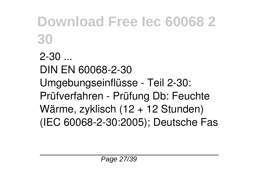2-30 ... DIN EN 60068-2-30 Umgebungseinflüsse - Teil 2-30: Prüfverfahren - Prüfung Db: Feuchte Wärme, zyklisch (12 + 12 Stunden) (IEC 60068-2-30:2005); Deutsche Fas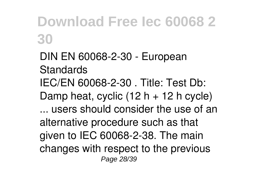DIN EN 60068-2-30 - European **Standards** IEC/EN 60068-2-30 . Title: Test Db: Damp heat, cyclic  $(12 h + 12 h \text{ cycle})$ ... users should consider the use of an alternative procedure such as that given to IEC 60068-2-38. The main changes with respect to the previous Page 28/39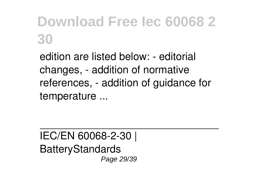edition are listed below: - editorial changes, - addition of normative references, - addition of guidance for temperature ...

IEC/EN 60068-2-30 | BatteryStandards Page 29/39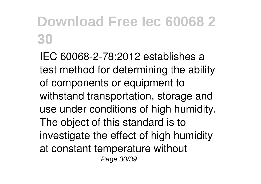IEC 60068-2-78:2012 establishes a test method for determining the ability of components or equipment to withstand transportation, storage and use under conditions of high humidity. The object of this standard is to investigate the effect of high humidity at constant temperature without Page 30/39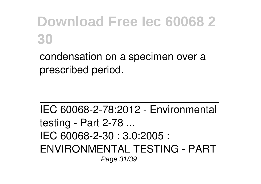condensation on a specimen over a prescribed period.

IEC 60068-2-78:2012 - Environmental testing - Part 2-78 ... IEC 60068-2-30 : 3.0:2005 : ENVIRONMENTAL TESTING - PART Page 31/39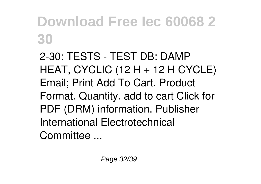2-30: TESTS - TEST DB: DAMP HEAT, CYCLIC  $(12 H + 12 H CYCLE)$ Email; Print Add To Cart. Product Format. Quantity. add to cart Click for PDF (DRM) information. Publisher International Electrotechnical Committee ...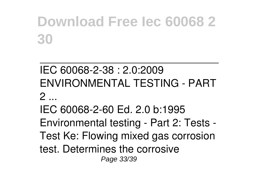#### IEC 60068-2-38 : 2.0:2009 ENVIRONMENTAL TESTING - PART  $\mathcal{P}$

- IEC 60068-2-60 Ed. 2.0 b:1995
- Environmental testing Part 2: Tests -
- Test Ke: Flowing mixed gas corrosion
- test. Determines the corrosive

Page 33/39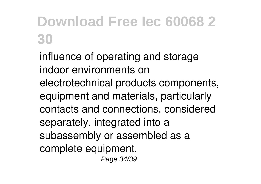influence of operating and storage indoor environments on electrotechnical products components, equipment and materials, particularly contacts and connections, considered separately, integrated into a subassembly or assembled as a complete equipment. Page 34/39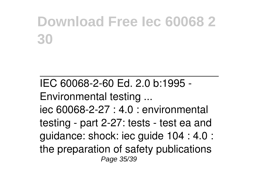IEC 60068-2-60 Ed. 2.0 b:1995 - Environmental testing ... iec 60068-2-27 : 4.0 : environmental testing - part 2-27: tests - test ea and guidance: shock: iec guide 104 : 4.0 : the preparation of safety publications Page 35/39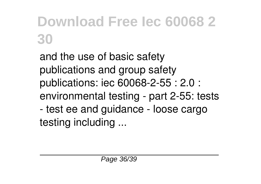and the use of basic safety publications and group safety publications: iec 60068-2-55 : 2.0 : environmental testing - part 2-55: tests - test ee and guidance - loose cargo testing including ...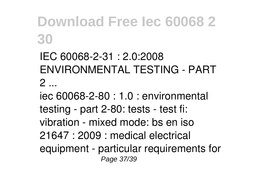#### IEC 60068-2-31 : 2.0:2008 ENVIRONMENTAL TESTING - PART 2 ...

iec 60068-2-80 : 1.0 : environmental testing - part 2-80: tests - test fi: vibration - mixed mode: bs en iso 21647 : 2009 : medical electrical equipment - particular requirements for Page 37/39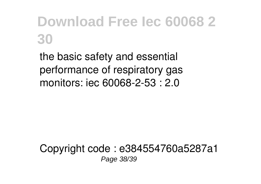the basic safety and essential performance of respiratory gas monitors: iec 60068-2-53 : 2.0

Copyright code : e384554760a5287a1 Page 38/39